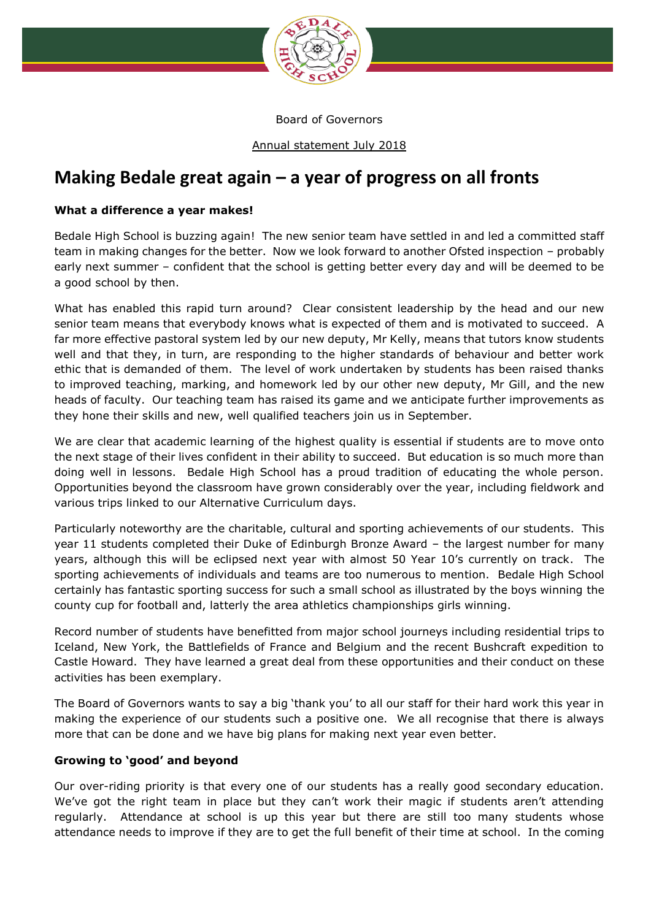

Board of Governors

Annual statement July 2018

## **Making Bedale great again – a year of progress on all fronts**

## **What a difference a year makes!**

Bedale High School is buzzing again! The new senior team have settled in and led a committed staff team in making changes for the better. Now we look forward to another Ofsted inspection – probably early next summer – confident that the school is getting better every day and will be deemed to be a good school by then.

What has enabled this rapid turn around? Clear consistent leadership by the head and our new senior team means that everybody knows what is expected of them and is motivated to succeed. A far more effective pastoral system led by our new deputy, Mr Kelly, means that tutors know students well and that they, in turn, are responding to the higher standards of behaviour and better work ethic that is demanded of them. The level of work undertaken by students has been raised thanks to improved teaching, marking, and homework led by our other new deputy, Mr Gill, and the new heads of faculty. Our teaching team has raised its game and we anticipate further improvements as they hone their skills and new, well qualified teachers join us in September.

We are clear that academic learning of the highest quality is essential if students are to move onto the next stage of their lives confident in their ability to succeed. But education is so much more than doing well in lessons. Bedale High School has a proud tradition of educating the whole person. Opportunities beyond the classroom have grown considerably over the year, including fieldwork and various trips linked to our Alternative Curriculum days.

Particularly noteworthy are the charitable, cultural and sporting achievements of our students. This year 11 students completed their Duke of Edinburgh Bronze Award – the largest number for many years, although this will be eclipsed next year with almost 50 Year 10's currently on track. The sporting achievements of individuals and teams are too numerous to mention. Bedale High School certainly has fantastic sporting success for such a small school as illustrated by the boys winning the county cup for football and, latterly the area athletics championships girls winning.

Record number of students have benefitted from major school journeys including residential trips to Iceland, New York, the Battlefields of France and Belgium and the recent Bushcraft expedition to Castle Howard. They have learned a great deal from these opportunities and their conduct on these activities has been exemplary.

The Board of Governors wants to say a big 'thank you' to all our staff for their hard work this year in making the experience of our students such a positive one. We all recognise that there is always more that can be done and we have big plans for making next year even better.

## **Growing to 'good' and beyond**

Our over-riding priority is that every one of our students has a really good secondary education. We've got the right team in place but they can't work their magic if students aren't attending regularly. Attendance at school is up this year but there are still too many students whose attendance needs to improve if they are to get the full benefit of their time at school. In the coming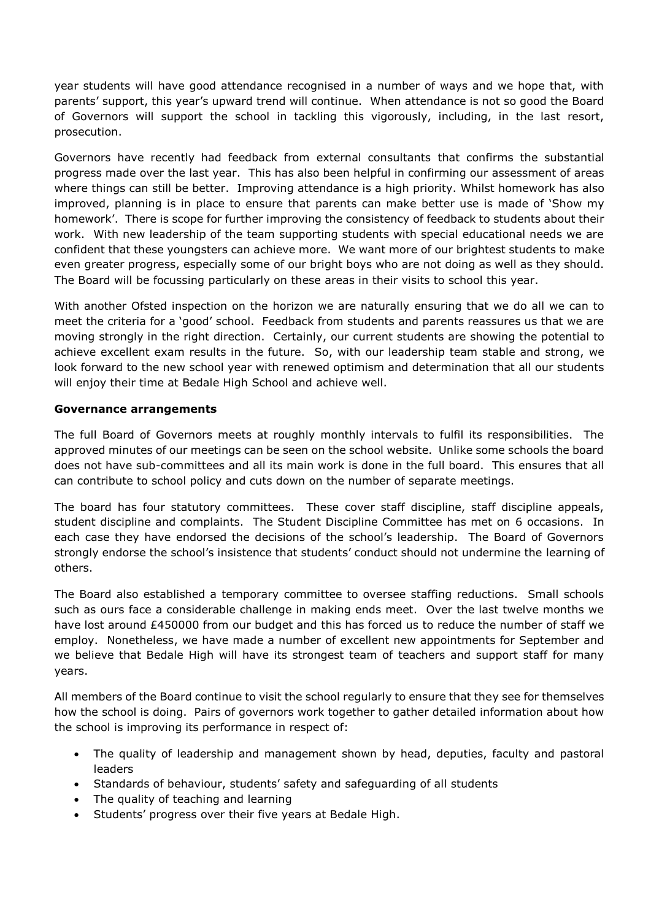year students will have good attendance recognised in a number of ways and we hope that, with parents' support, this year's upward trend will continue. When attendance is not so good the Board of Governors will support the school in tackling this vigorously, including, in the last resort, prosecution.

Governors have recently had feedback from external consultants that confirms the substantial progress made over the last year. This has also been helpful in confirming our assessment of areas where things can still be better. Improving attendance is a high priority. Whilst homework has also improved, planning is in place to ensure that parents can make better use is made of 'Show my homework'. There is scope for further improving the consistency of feedback to students about their work. With new leadership of the team supporting students with special educational needs we are confident that these youngsters can achieve more. We want more of our brightest students to make even greater progress, especially some of our bright boys who are not doing as well as they should. The Board will be focussing particularly on these areas in their visits to school this year.

With another Ofsted inspection on the horizon we are naturally ensuring that we do all we can to meet the criteria for a 'good' school. Feedback from students and parents reassures us that we are moving strongly in the right direction. Certainly, our current students are showing the potential to achieve excellent exam results in the future. So, with our leadership team stable and strong, we look forward to the new school year with renewed optimism and determination that all our students will enjoy their time at Bedale High School and achieve well.

## **Governance arrangements**

The full Board of Governors meets at roughly monthly intervals to fulfil its responsibilities. The approved minutes of our meetings can be seen on the school website. Unlike some schools the board does not have sub-committees and all its main work is done in the full board. This ensures that all can contribute to school policy and cuts down on the number of separate meetings.

The board has four statutory committees. These cover staff discipline, staff discipline appeals, student discipline and complaints. The Student Discipline Committee has met on 6 occasions. In each case they have endorsed the decisions of the school's leadership. The Board of Governors strongly endorse the school's insistence that students' conduct should not undermine the learning of others.

The Board also established a temporary committee to oversee staffing reductions. Small schools such as ours face a considerable challenge in making ends meet. Over the last twelve months we have lost around £450000 from our budget and this has forced us to reduce the number of staff we employ. Nonetheless, we have made a number of excellent new appointments for September and we believe that Bedale High will have its strongest team of teachers and support staff for many years.

All members of the Board continue to visit the school regularly to ensure that they see for themselves how the school is doing. Pairs of governors work together to gather detailed information about how the school is improving its performance in respect of:

- The quality of leadership and management shown by head, deputies, faculty and pastoral leaders
- Standards of behaviour, students' safety and safeguarding of all students
- The quality of teaching and learning
- Students' progress over their five years at Bedale High.